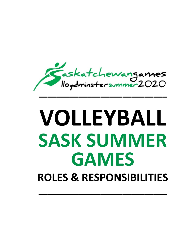

# **VOLLEYBALL SASK SUMMER GAMES ROLES & RESPONSIBILITIES**

**–––––––––––––––––––––––––––––**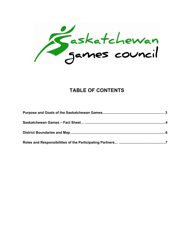Faskatchewan<br>James council

# **TABLE OF CONTENTS**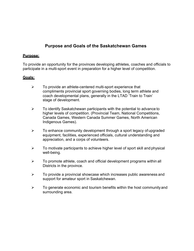## **Purpose and Goals of the Saskatchewan Games**

#### **Purpose:**

To provide an opportunity for the provinces developing athletes, coaches and officials to participate in a multi-sport event in preparation for a higher level of competition.

## **Goals:**

- $\triangleright$  To provide an athlete-centered multi-sport experience that compliments provincial sport governing bodies, long term athlete and coach developmental plans, generally in the LTAD 'Train to Train' stage of development.
- $\triangleright$  To identify Saskatchewan participants with the potential to advance to higher levels of competition. (Provincial Team, National Competitions, Canada Games, Western Canada Summer Games, North American Indigenous Games).
- $\triangleright$  To enhance community development through a sport legacy of upgraded equipment, facilities, experienced officials, cultural understanding and appreciation, and a corps of volunteers.
- $\triangleright$  To motivate participants to achieve higher level of sport skill and physical well-being.
- $\triangleright$  To promote athlete, coach and official development programs within all Districts in the province.
- $\triangleright$  To provide a provincial showcase which increases public awareness and support for amateur sport in Saskatchewan.
- $\triangleright$  To generate economic and tourism benefits within the host community and surrounding area.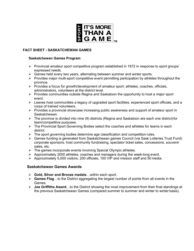

#### **FACT SHEET - SASKATCHEWAN GAMES**

#### **Saskatchewan Games Program**

- Ø Provincial amateur sport competitive program established in 1972 in response to sport groups' expressed needs.
- $\triangleright$  Games held every two years, alternating between summer and winter sports.
- $\triangleright$  Provides major multi-sport competitive event permitting participation by athletes throughout the province.
- $\triangleright$  Provides a focus for growth/development of amateur sport: athletes, coaches, officials, administrators, volunteers at the district level.
- $\triangleright$  Provides communities outside Regina and Saskatoon the opportunity to host a major sport event.
- $\triangleright$  Leaves host communities a legacy of upgraded sport facilities, experienced sport officials, and a corps of trained volunteers.
- $\triangleright$  Provides a provincial showcase increasing public awareness and support of amateur sport in Saskatchewan.
- $\triangleright$  The province is divided into nine (9) districts (Regina and Saskatoon are each one district) for team/competitive purposes.
- $\triangleright$  The Provincial Sport Governing Bodies select the coaches and athletes for teams in each district.
- $\triangleright$  The sport governing bodies determine age classification and competition rules.
- $\triangleright$  Games funding is generated from Saskatchewan games Council (via Sask Lotteries Trust Fund) corporate sponsors, host community fundraising, spectator ticket sales, concessions, souvenir sales, etc.
- $\triangleright$  The games incorporate events involving Special Olympic athletes.
- $\triangleright$  Approximately 2000 athletes, coaches and managers during the week-long event.
- Ø Approximately 5,000 visitors, 200 officials, 100 VIP and mission staff and 50 media.

#### **Saskatchewan Games Awards**

- Ø **Gold, Silver and Bronze medals**…within each sport.
- Ø **Games Flag**…to the District aggregating the largest number of points from all events in the Games.
- Ø **Joe Griffiths Award**…to the District showing the most improvement from their final standings at the previous Saskatchewan Games (compared summer to summer and winter to winter basis).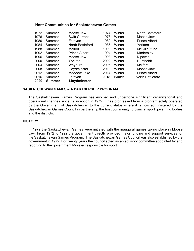#### **Host Communities for Saskatchewan Games**

| 1972 | Summer        | Moose Jaw            | 1974 | Winter | North Battleford     |
|------|---------------|----------------------|------|--------|----------------------|
| 1976 | Summer        | <b>Swift Current</b> | 1978 | Winter | Moose Jaw            |
| 1980 | Summer        | Estevan              | 1982 | Winter | <b>Prince Albert</b> |
| 1984 | Summer        | North Battleford     | 1986 | Winter | Yorkton              |
| 1988 | Summer        | <b>Melfort</b>       | 1990 | Winter | Melville/Ituna       |
| 1992 | Summer        | <b>Prince Albert</b> | 1994 | Winter | Kindersley           |
| 1996 | Summer        | Moose Jaw            | 1998 | Winter | Nipawin              |
| 2000 | Summer        | Yorkton              | 2002 | Winter | Humboldt             |
| 2004 | Summer        | Weyburn              | 2006 | Winter | <b>Melfort</b>       |
| 2008 | Summer        | Lloydminster         | 2010 | Winter | Moose Jaw            |
| 2012 | Summer        | <b>Meadow Lake</b>   | 2014 | Winter | <b>Prince Albert</b> |
| 2016 | Summer        | Estevan              | 2018 | Winter | North Battleford     |
| 2020 | <b>Summer</b> | Lloydminster         |      |        |                      |

#### **SASKATCHEWAN GAMES – A PARTNERSHIP PROGRAM**

The Saskatchewan Games Program has evolved and undergone significant organizational and operational changes since its inception in 1972. It has progressed from a program solely operated by the Government of Saskatchewan to the current status where it is now administered by the Saskatchewan Games Council in partnership the host community, provincial sport governing bodies and the districts.

#### **HISTORY**

In 1972 the Saskatchewan Games were initiated with the inaugural games taking place in Moose Jaw. From 1972 to 1992 the government directly provided major funding and support services for the Saskatchewan Games Program. The Saskatchewan Games Council was also established by the government in 1972. For twenty years the council acted as an advisory committee appointed by and reporting to the government Minister responsible for sport.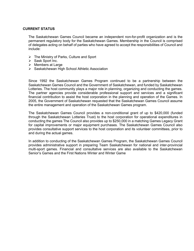#### **CURRENT STATUS**

The Saskatchewan Games Council became an independent non-for-profit organization and is the permanent regulatory body for the Saskatchewan Games. Membership in the Council is comprised of delegates acting on behalf of parties who have agreed to accept the responsibilities of Council and include:

- $\triangleright$  The Ministry of Parks, Culture and Sport
- $\triangleright$  Sask Sport Inc.
- $\triangleright$  Members at Large
- $\triangleright$  Saskatchewan High School Athletic Association

Since 1992 the Saskatchewan Games Program continued to be a partnership between the Saskatchewan Games Council and the Government of Saskatchewan, and funded by Saskatchewan Lotteries. The host community plays a major role in planning, organizing and conducting the games. The partner agencies provide considerable professional support and services and a significant financial contribution to assist the host corporation in the planning and operation of the Games. In 2005, the Government of Saskatchewan requested that the Saskatchewan Games Council assume the entire management and operation of the Saskatchewan Games program.

The Saskatchewan Games Council provides a non-conditional grant of up to \$420,000 (funded through the Saskatchewan Lotteries Trust) to the host corporation for operational expenditures in conducting the games The Council also provides up to \$250,000 in a matching Games Legacy Grant for capital improvements or major equipment purchases. The Saskatchewan Games Council also provides consultative support services to the host corporation and its volunteer committees, prior to and during the actual games.

In addition to conducting of the Saskatchewan Games Program, the Saskatchewan Games Council provides administrative support in preparing Team Saskatchewan for national and inter-provincial multi-sport games. Financial and consultative services are also available to the Saskatchewan Senior's Games and the First Nations Winter and Winter Game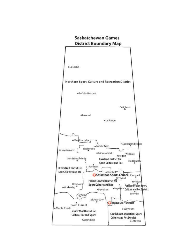# **Saskatchewan Games District Boundary Map**

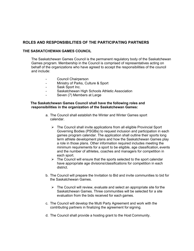### **ROLES AND RESPONSIBILITIES OF THE PARTICIPATING PARTNERS**

#### **THE SASKATCHEWAN GAMES COUNCIL**

The Saskatchewan Games Council is the permanent regulatory body of the Saskatchewan Games program. Membership in the Council is comprised of representatives acting on behalf of the organizations who have agreed to accept the responsibilities of the council and include:

- Council Chairperson
- Ministry of Parks, Culture & Sport
- Sask Sport Inc.
- Saskatchewan High Schools Athletic Association
- Seven (7) Members at Large

#### **The Saskatchewan Games Council shall have the following roles and responsibilities in the organization of the Saskatchewan Games:**

- a. The Council shall establish the Winter and Winter Games sport calendar.
	- $\triangleright$  The Council shall invite applications from all eligible Provincial Sport Governing Bodies (PSGBs) to request inclusion and participation in each games program calendar. The application shall outline their sports long term athlete development plans and how the Saskatchewan Games play a role in those plans. Other information required includes meeting the minimum requirements for a sport to be eligible, age classification, events and the number of athletes, coaches and managers for competition in each sport.
	- $\triangleright$  The Council will ensure that the sports selected to the sport calendar have appropriate age divisions/classifications for competition in each district.
- b. The Council will prepare the Invitation to Bid and invite communities to bid for the Saskatchewan Games.
	- $\triangleright$  The Council will review, evaluate and select an appropriate site for the Saskatchewan Games. Three communities will be selected for a site evaluation from the bids received for each games.
- c. The Council will develop the Multi Party Agreement and work with the contributing partners in finalizing the agreement for signing.
- d. The Council shall provide a hosting grant to the Host Community.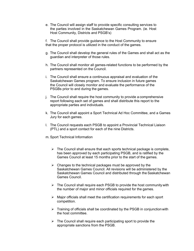e. The Council will assign staff to provide specific consulting services to the parties involved in the Saskatchewan Games Program. (ie. Host Host Community, Districts and PSGB's)

f. The Council shall provide guidance to the Host Community to ensure that the proper protocol is utilized in the conduct of the games.

- g. The Council shall develop the general rules of the Games and shall act as the guardian and interpreter of those rules.
- h. The Council shall monitor all games-related functions to be performed by the partners represented on the Council.
- i. The Council shall ensure a continuous appraisal and evaluation of the Saskatchewan Games program. To ensure inclusion in future games the Council will closely monitor and evaluate the performance of the PSGBs prior to and during the games.
- j. The Council shall require the host community to provide a comprehensive report following each set of games and shall distribute this report to the appropriate parties and individuals.
- k. The Council shall appoint a Sport Technical Ad Hoc Committee, and a Games Jury for each games.
- l. The Council requests each PSGB to appoint a Provincial Technical Liaison (PTL) and a sport contact for each of the nine Districts.
- m. Sport Technical Information
	- $\triangleright$  The Council shall ensure that each sports technical package is complete, has been approved by each participating PSGB, and is ratified by the Games Council at least 15 months prior to the start of the games.
	- $\triangleright$  Changes to the technical packages must be approved by the Saskatchewan Games Council. All revisions will be administered by the Saskatchewan Games Council and distributed through the Saskatchewan Games Council.
	- $\triangleright$  The Council shall require each PSGB to provide the host community with the number of major and minor officials required for the games.
	- $\triangleright$  Major officials shall meet the certification requirements for each sport competition.
	- $\triangleright$  Training of officials shall be coordinated by the PSGB in conjunction with the host committee.
	- $\triangleright$  The Council shall require each participating sport to provide the appropriate sanctions from the PSGB.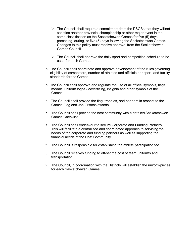- $\triangleright$  The Council shall require a commitment from the PSGBs that they will not sanction another provincial championship or other major event in the same classification as the Saskatchewan Games for five (5) days preceding, during, or five (5) days following the Saskatchewan Games. Changes to this policy must receive approval from the Saskatchewan Games Council.
- $\triangleright$  The Council shall approve the daily sport and competition schedule to be used for each Games.
- o. The Council shall coordinate and approve development of the rules governing eligibility of competitors, number of athletes and officials per sport, and facility standards for the Games.
- p. The Council shall approve and regulate the use of all official symbols, flags, medals, uniform logos / advertising, insignia and other symbols of the Games.
- q. The Council shall provide the flag, trophies, and banners in respect to the Games Flag and Joe Griffiths awards.
- r. The Council shall provide the host community with a detailed Saskatchewan Games Checklist.
- s. The Council shall endeavour to secure Corporate and Funding Partners. This will facilitate a centralized and coordinated approach to servicing the needs of the corporate and funding partners as well as supporting the financial needs of the Host Community.
- t. The Council is responsible for establishing the athlete participation fee.
- u. The Council receives funding to off-set the cost of team uniforms and transportation.
- v. The Council, in coordination with the Districts will establish the uniform pieces for each Saskatchewan Games.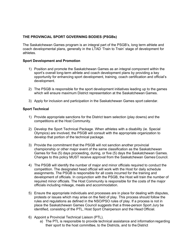#### **THE PROVINCIAL SPORT GOVERNING BODIES (PSGBs)**

The Saskatchewan Games program is an integral part of the PSGB's, long term athlete and coach developmental plans, generally in the LTAD 'Train to Train' stage of development for athletes.

#### **Sport Development and Promotion**

- 1) Position and promote the Saskatchewan Games as an integral component within the sport's overall long-term athlete and coach development plans by providing a key opportunity for enhancing sport development, training, coach certification and official's development.
- 2) The PSGB is responsible for the sport development initiatives leading up to the games which will ensure maximum District representation at the Saskatchewan Games.
- 3) Apply for inclusion and participation in the Saskatchewan Games sport calendar.

#### **Sport Technical**

- 1) Provide appropriate sanctions for the District team selection (play downs) and the competitions at the Host Community.
- 2) Develop the Sport Technical Package. When athletes with a disability (ie. Special Olympics) are involved, the PSGB will consult with the appropriate organization to develop that portion of the technical package.
- 3) Provide the commitment that the PSGB will not sanction another provincial championship or other major event of the same classification as the Saskatchewan Games for five (5) days proceeding, during, or five (5) days the Saskatchewan Games. Changes to this policy MUST receive approval from the Saskatchewan Games Council.
- 4) The PSGB will identify the number of major and minor officials required to conduct the competition. The designated head official will work with the Host for daily schedule assignments. The PSGB is responsible for all costs incurred for the training and development of officials. In conjunction with the PSGB, the Host will train the number of required minor officials. The Host Community is responsible for the costs of the major officials including mileage, meals and accommodation.
- 5) Ensure the appropriate individuals and processes are in place for dealing with disputes, protests or issues which may arise on the field of play. This process should follow the rules and regulations as defined in the NSO/PSO rules of play. If a process is not in place the Saskatchewan Games Council suggests that a three-person Sport Jury be identified, consisting of the PTL, Host Sport Chairperson and the Head Official.
- 6) Appoint a Provincial Technical Liaison (PTL).
	- a) The PTL is responsible to provide technical assistance and information regarding their sport to the host committee, to the Districts, and to the District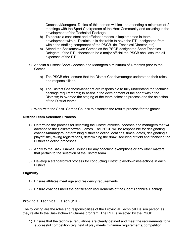Coaches/Managers. Duties of this person will include attending a minimum of 2 meetings with the Sport Chairperson of the Host Community and assisting in the development of the Technical Package.

- b) To ensure a consistent and efficient process is implemented in team development with all Districts. It is desirable to have the PTL designated from within the staffing component of the PSGB. (ie. Technical Director, etc)
- c) Attend the Saskatchewan Games as the PSGB designated Sport Technical Delegate. If the PTL chooses to be a major official the PSGB shall assume all expenses of the PTL.
- 7) Appoint a District Sport Coaches and Managers a minimum of 4 months prior to the Games.
	- a) The PSGB shall ensure that the District Coach/manager understand their roles and responsibilities.
	- b) The District Coaches/Managers are responsible to fully understand the technical package requirements; to assist in the development of the sport within the Districts; to oversee the staging of the team selection process and the selection of the District teams.
- 8) Work with the Sask. Games Council to establish the results process for the games.

#### **District Team Selection Process**

- 1) Determine the process for selecting the District athletes, coaches and managers that will advance to the Saskatchewan Games. The PSGB will be responsible for designating coaches/managers, determining district selection locations, times, dates, designating a playoff site, taking registrations, determining the draw, securing of field and financing the District selection processes.
- 2) Apply to the Sask. Games Council for any coaching exemptions or any other matters that pertain to the selection of the District team.
- 3) Develop a standardized process for conducting District play-downs/selections in each District.

#### **Eligibility**

- 1) Ensure athletes meet age and residency requirements.
- 2) Ensure coaches meet the certification requirements of the Sport Technical Package.

#### **Provincial Technical Liaison (PTL)**

The following are the roles and responsibilities of the Provincial Technical Liaison person as they relate to the Saskatchewan Games program. The PTL is selected by the PSGB.

1) Ensure that the technical regulations are clearly defined and meet the requirements for a successful competition (eg. field of play meets minimum requirements, competition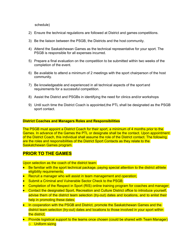schedule)

- 2) Ensure the technical regulations are followed at District and games competitions.
- 3) Be the liaison between the PSGB, the Districts and the host community.
- 4) Attend the Saskatchewan Games as the technical representative for your sport. The PSGB is responsible for all expenses incurred.
- 5) Prepare a final evaluation on the competition to be submitted within two weeks of the completion of the event.
- 6) Be available to attend a minimum of 2 meetings with the sport chairperson of the host community.
- 7) Be knowledgeable and experienced in all technical aspects of the sport and requirements for a successful competition.
- 8) Assist the District and PSGBs in identifying the need for clinics and/or workshops
- 9) Until such time the District Coach is appointed,the PTL shall be designated as the PSGB sport contact.

#### **District Coaches and Managers Roles and Responsibilities**

The PSGB must appoint a District Coach for their sport, a minimum of 4 months prior to the Games. In advance of the Games the PTL or designate shall be the contact. Upon appointment of the District Coach, this individual shall assume the role of the District contact. The following are the roles and responsibilities of the District Sport Contacts as they relate to the Saskatchewan Games program.

## **PRIOR TO THE GAMES**

Upon selection as the coach of the district team:

- Be familiar with the sport technical package, paying special attention to the district athlete eligibility requirements;
- Recruit a manager who will assist in team management and operation;
- Submit a Criminal and Vulnerable Sector Check to the PSGB;
- Completion of the Respect in Sport (RIS) online training program for coaches and manager;
- Contact the designated Sport, Recreation and Culture District office to introduce yourself, advise them of the district team selection (try-out) dates and locations, and to enlist their help in promoting these dates;
- In cooperation with the PSGB and District, promote the Saskatchewan Games and the district team selection (try-out) dates and locations to those involved in your sport within the district;
- Provide logistical support to the teams once chosen (could be shared with Team Manager) o Uniform sizing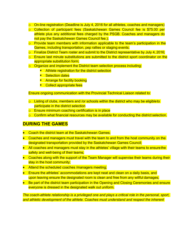- $\circ$  On-line registration (Deadline is July 4, 2016 for all athletes, coaches and managers)
- o Collection of participant fees (Saskatchewan Games Council fee is \$75.00 per athlete plus any additional fees charged by the PSGB. Coaches and managers do not pay the Saskatchewan Games Council fee.);
- $\circ$  Provide team members with information applicable to the team's participation in the Games, including transportation, pep rallies or staging events;
- $\circ$  Finalize District Team roster and submit to the District representative by July 4, 2016;
- $\circ$  Ensure last minute substitutions are submitted to the district sport coordinator on the appropriate substitution form;
- o Organize and implement the District team selection process including:
	- Athlete registration for the district selection
	- Selection dates
	- **E** Arrange for facility booking
	- Collect appropriate fees

Ensure ongoing communication with the Provincial Technical Liaison related to:

- $\circ$  Listing of clubs, members and /or schools within the district who may be eligible to participate in the district selection
- o Ensure minimum coaching certification is in place
- o Confirm what financial resources may be available for conducting the district selection.

# **DURING THE GAMES**

- Coach the district team at the Saskatchewan Games:
- Coaches and managers must travel with the team to and from the host community on the designated transportation provided by the Saskatchewan Games Council;
- All coaches and managers must stay in the athletes' village with their teams to ensure the safety and well-being of their teams;
- Coaches along with the support of the Team Manager will supervise their teams during their stay in the host community;
- Attend the scheduled coaches /managers meeting;
- Ensure the athletes' accommodations are kept neat and clean on a daily basis, and upon leaving ensure the designated room is clean and free from any willful damages;
- Be part of the district team participation in the Opening and Closing Ceremonies and ensure everyone is dressed in the designated walk out uniform.

*The coach-athlete relationship is a privileged one and plays a critical role in the personal, sport, and athletic development of the athlete. Coaches must understand and respect the inherent*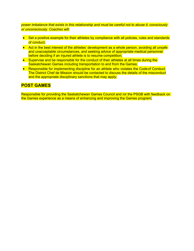*power imbalance that exists in this relationship and must be careful not to abuse it, consciously or unconsciously. Coaches will:*

- Set a positive example for their athletes by compliance with all policies, rules and standards of conduct;
- Act in the best interest of the athletes' development as a whole person, avoiding all unsafe and unacceptable circumstances, and seeking advice of appropriate medical personnel before deciding if an injured athlete is to resume competition;
- Supervise and be responsible for the conduct of their athletes at all times during the Saskatchewan Games including transportation to and from the Games;
- Responsible for implementing discipline for an athlete who violates the Code of Conduct. The District Chef de Mission should be contacted to discuss the details of the misconduct and the appropriate disciplinary sanctions that may apply;

## **POST GAMES**

Responsible for providing the Saskatchewan Games Council and /or the PSGB with feedback on the Games experience as a means of enhancing and improving the Games program.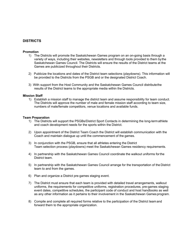#### **DISTRICTS**

#### **Promotion**

- 1) The Districts will promote the Saskatchewan Games program on an on-going basis through a variety of ways, including their websites, newsletters and through tools provided to them bythe Saskatchewan Games Council. The Districts will ensure the results of the District teams at the Games are publicized throughout their Districts.
- 2) Publicize the locations and dates of the District team selections (playdowns). This information will be provided to the Districts from the PSGB and or the designated District Coach.
- 3) With support from the Host Community and the Saskatchewan Games Council distributethe results of the District teams to the appropriate media within the Districts.

#### **Mission Staff**

1) Establish a mission staff to manage the district team and assume responsibility for team conduct. The Districts will approve the number of male and female mission staff according to team size, numbers of male/female competitors, venue locations and available funds.

#### **Team Preparation**

- 1) The Districts will support the PSGBs/District Sport Contacts in determining the long-termathlete and coach development needs for the sports within the District.
- 2) Upon appointment of the District Team Coach the District will establish communication with the Coach and maintain dialogue up until the commencement of the games.
- 3) In conjunction with the PSGB, ensure that all athletes entering the District Team selection process (playdowns) meet the Saskatchewan Games residency requirements.
- 4) In partnership with the Saskatchewan Games Council coordinate the walkout uniforms forthe District team.
- 5) In partnership with the Saskatchewan Games Council arrange for the transportation of the District team to and from the games.
- 6) Plan and organize a District pre-games staging event.
- 7) The District must ensure that each team is provided with detailed travel arrangements, walkout uniforms, the requirements for competitive uniforms, registration procedures, pre-games staging event dates, competitive schedules, the participant code of conduct and host handbooks as well as any other information as it pertains to their involvement in the Saskatchewan Games program.
- 8) Compile and complete all required forms relative to the participation of the District teamand forward them to the appropriate organization.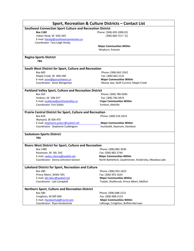| Sport, Recreation & Culture Districts – Contact List                      |                                                         |  |  |  |  |
|---------------------------------------------------------------------------|---------------------------------------------------------|--|--|--|--|
| <b>Southeast Connection Sport Culture and Recreation District</b>         |                                                         |  |  |  |  |
| <b>Box 1182</b>                                                           | Phone: (306) 695-2006 (O)                               |  |  |  |  |
| Indian Head, SK SOG 2KO                                                   | $(306) 660 - 7217$ (C)                                  |  |  |  |  |
| E-mail: theslip@southeastconnection.ca                                    |                                                         |  |  |  |  |
| Coordinator: Tara-Leigh Heslip                                            |                                                         |  |  |  |  |
|                                                                           | <b>Major Communities Within</b>                         |  |  |  |  |
|                                                                           | Weyburn, Estevan                                        |  |  |  |  |
| <b>Regina Sports District</b>                                             |                                                         |  |  |  |  |
| <b>TBA</b>                                                                |                                                         |  |  |  |  |
| South West District for Sport, Culture and Recreation                     |                                                         |  |  |  |  |
| Box 683                                                                   | Phone: (306) 662-3242                                   |  |  |  |  |
| Maple Creek, SK SON 1NO                                                   | Fax: (306) 662-2131                                     |  |  |  |  |
| E-mail: anne@gosouthwest.ca                                               | <b>Major Communities Within</b>                         |  |  |  |  |
| Coordinator: Anne Weisgerber                                              | Moose Jaw, Swift Current, Maple Creek                   |  |  |  |  |
| Parkland Valley Sport, Culture and Recreation District                    |                                                         |  |  |  |  |
| <b>Box 263</b>                                                            | Phone: (306) 786-6585                                   |  |  |  |  |
| Yorkton, SK S3N 2V7                                                       | Fax: (306) 782-0474                                     |  |  |  |  |
| E-mail: esobkow@parklandvalley.ca                                         | <b>Major Communities Within</b>                         |  |  |  |  |
| Coordinator: Erin Sobko                                                   | Yorkton, Melville                                       |  |  |  |  |
| <b>Prairie Central District for Sport, Culture and Recreation</b>         |                                                         |  |  |  |  |
|                                                                           |                                                         |  |  |  |  |
| <b>Box 818</b>                                                            | Phone: (306) 554-2414                                   |  |  |  |  |
| Wynyard, SK S0A 4T0<br>E-mail: stephanie.pcdscr@sasktel.net               | <b>Major Communities Within</b>                         |  |  |  |  |
| Coordinator: Stephanie Cuddington                                         | Humboldt, Raymore, Davidson                             |  |  |  |  |
|                                                                           |                                                         |  |  |  |  |
| <b>Saskatoon Sports District</b><br><b>TBA</b>                            |                                                         |  |  |  |  |
|                                                                           |                                                         |  |  |  |  |
| <b>Rivers West District for Sport, Culture and Recreation</b><br>Box 1480 | Phone: (306) 882-3030                                   |  |  |  |  |
| Rosetown, SK SOL 2V0                                                      | Fax: (306) 882-2744                                     |  |  |  |  |
| E-mail: rwdscr.donna@sasktel.net                                          | <b>Major Communities Within</b>                         |  |  |  |  |
| Coordinator: Donna Johnston-Genest                                        | North Battleford, Lloydminster, Kindersley, Meadow Lake |  |  |  |  |
| Lakeland District for Sport, Recreation and Culture                       |                                                         |  |  |  |  |
| <b>Box 280</b>                                                            | Phone: (306) 953-1623                                   |  |  |  |  |
| Prince Albert, SKS6V 5R5                                                  | Fax: (306) 953-1624                                     |  |  |  |  |
| E-mail: lyle.ldscr@sasktel.net                                            | <b>Major Communities Within</b>                         |  |  |  |  |
| Coordinator: Lyle Campbell                                                | Tisdale, Shellbrook, Prince Albert, Melfort             |  |  |  |  |
| Northern Sport, Culture and Recreation District                           |                                                         |  |  |  |  |
| <b>Box 580</b>                                                            | Phone: (306) 688-2122                                   |  |  |  |  |
| Creighton, SK SOP 0A0                                                     | Fax: (306) 688-2123                                     |  |  |  |  |
| E-mail: rkarakochuk@nscrd.com                                             | <b>Major Communities Within</b>                         |  |  |  |  |
| Coordinator: Ryan Karakochuk                                              | LaRonge, Creighton, Buffalo Narrows                     |  |  |  |  |